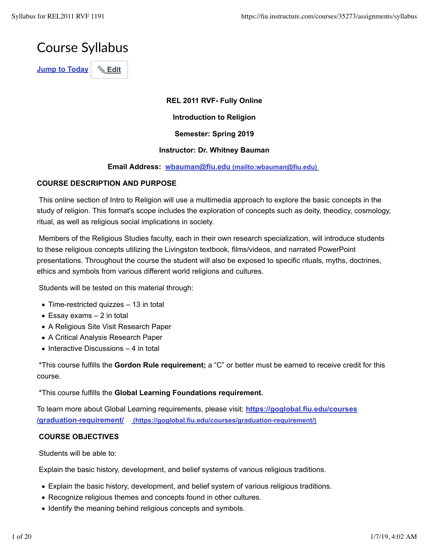

**REL 2011 RVF- Fully Online**

**Introduction to Religion**

**Semester: Spring 2019**

# **Instructor: Dr. Whitney Bauman**

# **Email Address: wbauman@fiu.edu (mailto:wbauman@fiu.edu)**

# **COURSE DESCRIPTION AND PURPOSE**

 This online section of Intro to Religion will use a multimedia approach to explore the basic concepts in the study of religion. This format's scope includes the exploration of concepts such as deity, theodicy, cosmology, ritual, as well as religious social implications in society.

 Members of the Religious Studies faculty, each in their own research specialization, will introduce students to these religious concepts utilizing the Livingston textbook, films/videos, and narrated PowerPoint presentations. Throughout the course the student will also be exposed to specific rituals, myths, doctrines, ethics and symbols from various different world religions and cultures.

Students will be tested on this material through:

- Time-restricted quizzes 13 in total
- $\bullet$  Essay exams  $-2$  in total
- A Religious Site Visit Research Paper
- A Critical Analysis Research Paper
- $\bullet$  Interactive Discussions 4 in total

 \*This course fulfills the **Gordon Rule requirement;** a "C" or better must be earned to receive credit for this course.

\*This course fulfills the **Global Learning Foundations requirement.**

To learn more about Global Learning requirements, please visit: **https://goglobal.fiu.edu/courses /graduation-requirement/ (https://goglobal.fiu.edu/courses/graduation-requirement/)**

# **COURSE OBJECTIVES**

Students will be able to:

Explain the basic history, development, and belief systems of various religious traditions.

- Explain the basic history, development, and belief system of various religious traditions.
- Recognize religious themes and concepts found in other cultures.
- Identify the meaning behind religious concepts and symbols.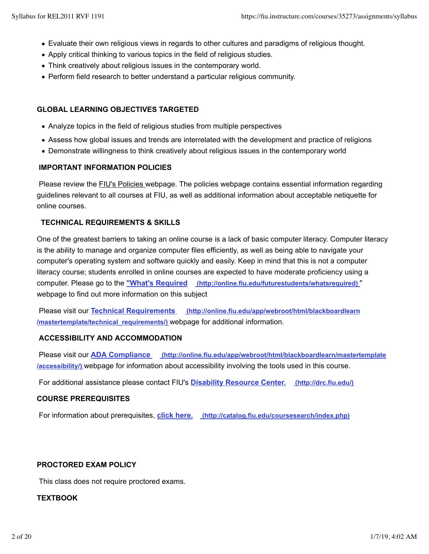- Evaluate their own religious views in regards to other cultures and paradigms of religious thought.
- Apply critical thinking to various topics in the field of religious studies.
- Think creatively about religious issues in the contemporary world.
- Perform field research to better understand a particular religious community.

# **GLOBAL LEARNING OBJECTIVES TARGETED**

- Analyze topics in the field of religious studies from multiple perspectives
- Assess how global issues and trends are interrelated with the development and practice of religions
- Demonstrate willingness to think creatively about religious issues in the contemporary world

# **IMPORTANT INFORMATION POLICIES**

Please review the **FIU's Policies** webpage. The policies webpage contains essential information regarding guidelines relevant to all courses at FIU, as well as additional information about acceptable netiquette for online courses.

# **TECHNICAL REQUIREMENTS & SKILLS**

One of the greatest barriers to taking an online course is a lack of basic computer literacy. Computer literacy is the ability to manage and organize computer files efficiently, as well as being able to navigate your computer's operating system and software quickly and easily. Keep in mind that this is not a computer literacy course; students enrolled in online courses are expected to have moderate proficiency using a computer. Please go to the **"What's Required (http://online.fiu.edu/futurestudents/whatsrequired)** " webpage to find out more information on this subject

 Please visit our **Technical Requirements (http://online.fiu.edu/app/webroot/html/blackboardlearn /mastertemplate/technical\_requirements/)** webpage for additional information.

# **ACCESSIBILITY AND ACCOMMODATION**

 Please visit our **ADA Compliance (http://online.fiu.edu/app/webroot/html/blackboardlearn/mastertemplate /accessibility/)** webpage for information about accessibility involving the tools used in this course.

For additional assistance please contact FIU's **Disability Resource Center. (http://drc.fiu.edu/)**

## **COURSE PREREQUISITES**

For information about prerequisites, **click here. (http://catalog.fiu.edu/coursesearch/index.php)**

# **PROCTORED EXAM POLICY**

This class does not require proctored exams.

# **TEXTBOOK**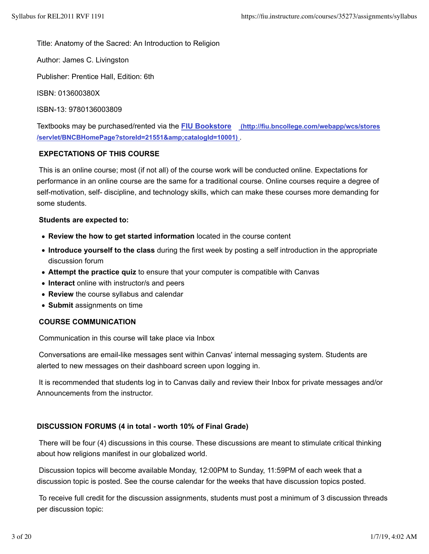Title: Anatomy of the Sacred: An Introduction to Religion

Author: James C. Livingston

Publisher: Prentice Hall, Edition: 6th

ISBN: 013600380X

ISBN-13: 9780136003809

Textbooks may be purchased/rented via the **FIU Bookstore (http://fiu.bncollege.com/webapp/wcs/stores** /servlet/BNCBHomePage?storeId=21551&catalogId=10001)

# **EXPECTATIONS OF THIS COURSE**

 This is an online course; most (if not all) of the course work will be conducted online. Expectations for performance in an online course are the same for a traditional course. Online courses require a degree of self-motivation, self- discipline, and technology skills, which can make these courses more demanding for some students.

## **Students are expected to:**

- **Review the how to get started information** located in the course content
- **Introduce yourself to the class** during the first week by posting a self introduction in the appropriate discussion forum
- **Attempt the practice quiz** to ensure that your computer is compatible with Canvas
- **Interact** online with instructor/s and peers
- **Review** the course syllabus and calendar
- **Submit** assignments on time

## **COURSE COMMUNICATION**

Communication in this course will take place via Inbox

 Conversations are email-like messages sent within Canvas' internal messaging system. Students are alerted to new messages on their dashboard screen upon logging in.

 It is recommended that students log in to Canvas daily and review their Inbox for private messages and/or Announcements from the instructor.

# **DISCUSSION FORUMS (4 in total - worth 10% of Final Grade)**

 There will be four (4) discussions in this course. These discussions are meant to stimulate critical thinking about how religions manifest in our globalized world.

 Discussion topics will become available Monday, 12:00PM to Sunday, 11:59PM of each week that a discussion topic is posted. See the course calendar for the weeks that have discussion topics posted.

 To receive full credit for the discussion assignments, students must post a minimum of 3 discussion threads per discussion topic: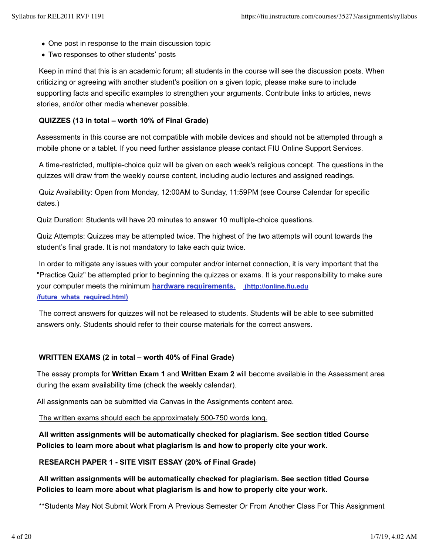- One post in response to the main discussion topic
- Two responses to other students' posts

 Keep in mind that this is an academic forum; all students in the course will see the discussion posts. When criticizing or agreeing with another student's position on a given topic, please make sure to include supporting facts and specific examples to strengthen your arguments. Contribute links to articles, news stories, and/or other media whenever possible.

# **QUIZZES (13 in total – worth 10% of Final Grade)**

Assessments in this course are not compatible with mobile devices and should not be attempted through a mobile phone or a tablet. If you need further assistance please contact FIU Online Support Services.

 A time-restricted, multiple-choice quiz will be given on each week's religious concept. The questions in the quizzes will draw from the weekly course content, including audio lectures and assigned readings.

 Quiz Availability: Open from Monday, 12:00AM to Sunday, 11:59PM (see Course Calendar for specific dates.)

Quiz Duration: Students will have 20 minutes to answer 10 multiple-choice questions.

Quiz Attempts: Quizzes may be attempted twice. The highest of the two attempts will count towards the student's final grade. It is not mandatory to take each quiz twice.

 In order to mitigate any issues with your computer and/or internet connection, it is very important that the "Practice Quiz" be attempted prior to beginning the quizzes or exams. It is your responsibility to make sure your computer meets the minimum **hardware requirements. (http://online.fiu.edu /future\_whats\_required.html)**

 The correct answers for quizzes will not be released to students. Students will be able to see submitted answers only. Students should refer to their course materials for the correct answers.

# **WRITTEN EXAMS (2 in total – worth 40% of Final Grade)**

The essay prompts for **Written Exam 1** and **Written Exam 2** will become available in the Assessment area during the exam availability time (check the weekly calendar).

All assignments can be submitted via Canvas in the Assignments content area.

The written exams should each be approximately 500-750 words long.

**All written assignments will be automatically checked for plagiarism. See section titled Course Policies to learn more about what plagiarism is and how to properly cite your work.**

# **RESEARCH PAPER 1 - SITE VISIT ESSAY (20% of Final Grade)**

# **All written assignments will be automatically checked for plagiarism. See section titled Course Policies to learn more about what plagiarism is and how to properly cite your work.**

\*\*Students May Not Submit Work From A Previous Semester Or From Another Class For This Assignment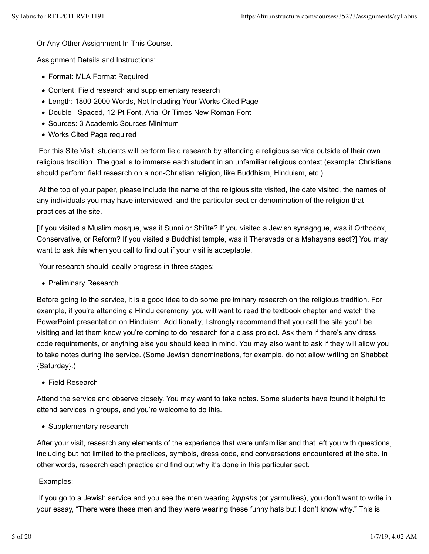Or Any Other Assignment In This Course.

Assignment Details and Instructions:

- Format: MLA Format Required
- Content: Field research and supplementary research
- Length: 1800-2000 Words, Not Including Your Works Cited Page
- Double –Spaced, 12-Pt Font, Arial Or Times New Roman Font
- Sources: 3 Academic Sources Minimum
- Works Cited Page required

 For this Site Visit, students will perform field research by attending a religious service outside of their own religious tradition. The goal is to immerse each student in an unfamiliar religious context (example: Christians should perform field research on a non-Christian religion, like Buddhism, Hinduism, etc.)

 At the top of your paper, please include the name of the religious site visited, the date visited, the names of any individuals you may have interviewed, and the particular sect or denomination of the religion that practices at the site.

[If you visited a Muslim mosque, was it Sunni or Shi'ite? If you visited a Jewish synagogue, was it Orthodox, Conservative, or Reform? If you visited a Buddhist temple, was it Theravada or a Mahayana sect?] You may want to ask this when you call to find out if your visit is acceptable.

Your research should ideally progress in three stages:

• Preliminary Research

Before going to the service, it is a good idea to do some preliminary research on the religious tradition. For example, if you're attending a Hindu ceremony, you will want to read the textbook chapter and watch the PowerPoint presentation on Hinduism. Additionally, I strongly recommend that you call the site you'll be visiting and let them know you're coming to do research for a class project. Ask them if there's any dress code requirements, or anything else you should keep in mind. You may also want to ask if they will allow you to take notes during the service. (Some Jewish denominations, for example, do not allow writing on Shabbat {Saturday}.)

Field Research

Attend the service and observe closely. You may want to take notes. Some students have found it helpful to attend services in groups, and you're welcome to do this.

• Supplementary research

After your visit, research any elements of the experience that were unfamiliar and that left you with questions, including but not limited to the practices, symbols, dress code, and conversations encountered at the site. In other words, research each practice and find out why it's done in this particular sect.

Examples:

 If you go to a Jewish service and you see the men wearing *kippahs* (or yarmulkes), you don't want to write in your essay, "There were these men and they were wearing these funny hats but I don't know why." This is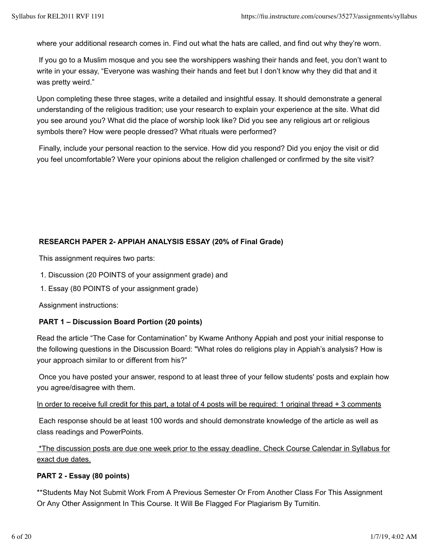where your additional research comes in. Find out what the hats are called, and find out why they're worn.

 If you go to a Muslim mosque and you see the worshippers washing their hands and feet, you don't want to write in your essay, "Everyone was washing their hands and feet but I don't know why they did that and it was pretty weird."

Upon completing these three stages, write a detailed and insightful essay. It should demonstrate a general understanding of the religious tradition; use your research to explain your experience at the site. What did you see around you? What did the place of worship look like? Did you see any religious art or religious symbols there? How were people dressed? What rituals were performed?

 Finally, include your personal reaction to the service. How did you respond? Did you enjoy the visit or did you feel uncomfortable? Were your opinions about the religion challenged or confirmed by the site visit?

# **RESEARCH PAPER 2- APPIAH ANALYSIS ESSAY (20% of Final Grade)**

This assignment requires two parts:

- 1. Discussion (20 POINTS of your assignment grade) and
- 1. Essay (80 POINTS of your assignment grade)

Assignment instructions:

# **PART 1 – Discussion Board Portion (20 points)**

Read the article "The Case for Contamination" by Kwame Anthony Appiah and post your initial response to the following questions in the Discussion Board: "What roles do religions play in Appiah's analysis? How is your approach similar to or different from his?"

 Once you have posted your answer, respond to at least three of your fellow students' posts and explain how you agree/disagree with them.

In order to receive full credit for this part, a total of 4 posts will be required: 1 original thread + 3 comments

 Each response should be at least 100 words and should demonstrate knowledge of the article as well as class readings and PowerPoints.

 \*The discussion posts are due one week prior to the essay deadline. Check Course Calendar in Syllabus for exact due dates.

# **PART 2 - Essay (80 points)**

\*\*Students May Not Submit Work From A Previous Semester Or From Another Class For This Assignment Or Any Other Assignment In This Course. It Will Be Flagged For Plagiarism By Turnitin.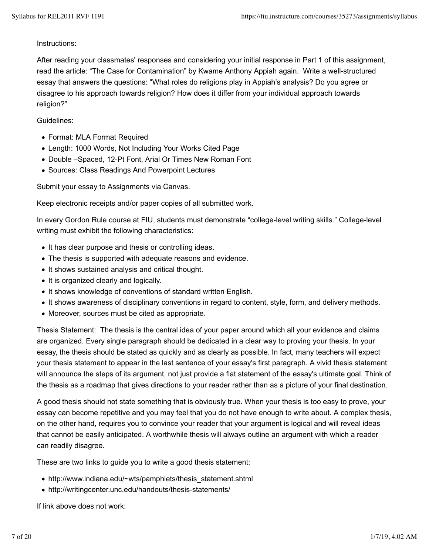# Instructions:

After reading your classmates' responses and considering your initial response in Part 1 of this assignment, read the article: "The Case for Contamination" by Kwame Anthony Appiah again. Write a well-structured essay that answers the questions: "What roles do religions play in Appiah's analysis? Do you agree or disagree to his approach towards religion? How does it differ from your individual approach towards religion?"

# Guidelines:

- Format: MLA Format Required
- Length: 1000 Words, Not Including Your Works Cited Page
- Double –Spaced, 12-Pt Font, Arial Or Times New Roman Font
- Sources: Class Readings And Powerpoint Lectures

Submit your essay to Assignments via Canvas.

Keep electronic receipts and/or paper copies of all submitted work.

In every Gordon Rule course at FIU, students must demonstrate "college-level writing skills." College-level writing must exhibit the following characteristics:

- It has clear purpose and thesis or controlling ideas.
- The thesis is supported with adequate reasons and evidence.
- It shows sustained analysis and critical thought.
- It is organized clearly and logically.
- It shows knowledge of conventions of standard written English.
- It shows awareness of disciplinary conventions in regard to content, style, form, and delivery methods.
- Moreover, sources must be cited as appropriate.

Thesis Statement: The thesis is the central idea of your paper around which all your evidence and claims are organized. Every single paragraph should be dedicated in a clear way to proving your thesis. In your essay, the thesis should be stated as quickly and as clearly as possible. In fact, many teachers will expect your thesis statement to appear in the last sentence of your essay's first paragraph. A vivid thesis statement will announce the steps of its argument, not just provide a flat statement of the essay's ultimate goal. Think of the thesis as a roadmap that gives directions to your reader rather than as a picture of your final destination.

A good thesis should not state something that is obviously true. When your thesis is too easy to prove, your essay can become repetitive and you may feel that you do not have enough to write about. A complex thesis, on the other hand, requires you to convince your reader that your argument is logical and will reveal ideas that cannot be easily anticipated. A worthwhile thesis will always outline an argument with which a reader can readily disagree.

These are two links to guide you to write a good thesis statement:

- http://www.indiana.edu/~wts/pamphlets/thesis\_statement.shtml
- http://writingcenter.unc.edu/handouts/thesis-statements/

If link above does not work: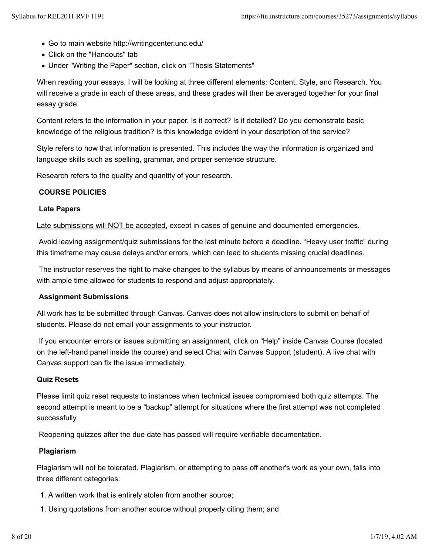- Go to main website http://writingcenter.unc.edu/
- Click on the "Handouts" tab
- Under "Writing the Paper" section, click on "Thesis Statements"

When reading your essays, I will be looking at three different elements: Content, Style, and Research. You will receive a grade in each of these areas, and these grades will then be averaged together for your final essay grade.

Content refers to the information in your paper. Is it correct? Is it detailed? Do you demonstrate basic knowledge of the religious tradition? Is this knowledge evident in your description of the service?

Style refers to how that information is presented. This includes the way the information is organized and language skills such as spelling, grammar, and proper sentence structure.

Research refers to the quality and quantity of your research.

## **COURSE POLICIES**

## **Late Papers**

Late submissions will NOT be accepted, except in cases of genuine and documented emergencies.

 Avoid leaving assignment/quiz submissions for the last minute before a deadline. "Heavy user traffic" during this timeframe may cause delays and/or errors, which can lead to students missing crucial deadlines.

 The instructor reserves the right to make changes to the syllabus by means of announcements or messages with ample time allowed for students to respond and adjust appropriately.

## **Assignment Submissions**

All work has to be submitted through Canvas. Canvas does not allow instructors to submit on behalf of students. Please do not email your assignments to your instructor.

 If you encounter errors or issues submitting an assignment, click on "Help" inside Canvas Course (located on the left-hand panel inside the course) and select Chat with Canvas Support (student). A live chat with Canvas support can fix the issue immediately.

## **Quiz Resets**

Please limit quiz reset requests to instances when technical issues compromised both quiz attempts. The second attempt is meant to be a "backup" attempt for situations where the first attempt was not completed successfully.

Reopening quizzes after the due date has passed will require verifiable documentation.

## **Plagiarism**

Plagiarism will not be tolerated. Plagiarism, or attempting to pass off another's work as your own, falls into three different categories:

- 1. A written work that is entirely stolen from another source;
- 1. Using quotations from another source without properly citing them; and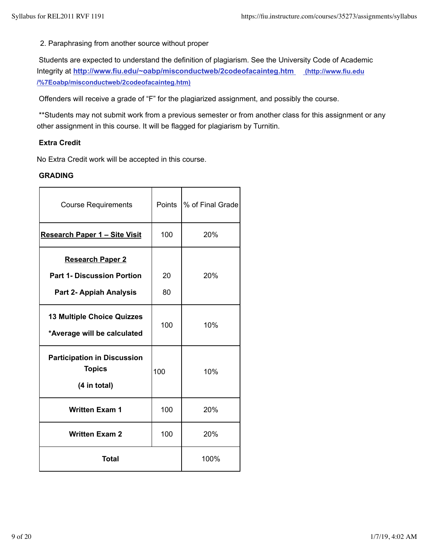2. Paraphrasing from another source without proper

 Students are expected to understand the definition of plagiarism. See the University Code of Academic Integrity at **http://www.fiu.edu/~oabp/misconductweb/2codeofacainteg.htm (http://www.fiu.edu /%7Eoabp/misconductweb/2codeofacainteg.htm)**

Offenders will receive a grade of "F" for the plagiarized assignment, and possibly the course.

 \*\*Students may not submit work from a previous semester or from another class for this assignment or any other assignment in this course. It will be flagged for plagiarism by Turnitin.

# **Extra Credit**

No Extra Credit work will be accepted in this course.

# **GRADING**

| <b>Course Requirements</b>                                                                     | Points   | % of Final Grade |
|------------------------------------------------------------------------------------------------|----------|------------------|
| Research Paper 1 - Site Visit                                                                  | 100      | 20%              |
| <b>Research Paper 2</b><br><b>Part 1- Discussion Portion</b><br><b>Part 2- Appiah Analysis</b> | 20<br>80 | 20%              |
| <b>13 Multiple Choice Quizzes</b><br>*Average will be calculated                               | 100      | 10%              |
| <b>Participation in Discussion</b><br><b>Topics</b><br>(4 in total)                            | 100      | 10%              |
| <b>Written Exam 1</b>                                                                          | 100      | 20%              |
| <b>Written Exam 2</b>                                                                          | 100      | 20%              |
| <b>Total</b>                                                                                   |          | 100%             |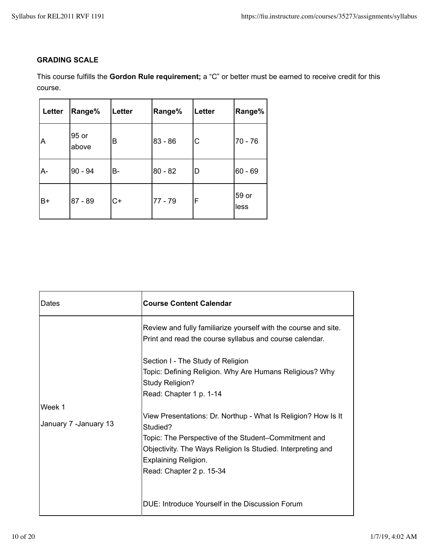# **GRADING SCALE**

This course fulfills the **Gordon Rule requirement;** a "C" or better must be earned to receive credit for this course.

| Letter | <b>Range%</b>  | Letter | Range%    | Letter | Range%        |
|--------|----------------|--------|-----------|--------|---------------|
| A      | 95 or<br>above | B      | $83 - 86$ | С      | 70 - 76       |
| A-     | $90 - 94$      | B-     | $80 - 82$ | D      | $60 - 69$     |
| B+     | $87 - 89$      | $C+$   | $77 - 79$ | F      | 59 or<br>less |

| Dates                           | <b>Course Content Calendar</b>                                                                                                                                                                                                                       |
|---------------------------------|------------------------------------------------------------------------------------------------------------------------------------------------------------------------------------------------------------------------------------------------------|
|                                 | Review and fully familiarize yourself with the course and site.<br>Print and read the course syllabus and course calendar.                                                                                                                           |
|                                 | Section I - The Study of Religion<br>Topic: Defining Religion. Why Are Humans Religious? Why<br>Study Religion?<br>Read: Chapter 1 p. 1-14                                                                                                           |
| Week 1<br>January 7 -January 13 | View Presentations: Dr. Northup - What Is Religion? How Is It<br>Studied?<br>Topic: The Perspective of the Student-Commitment and<br>Objectivity. The Ways Religion Is Studied. Interpreting and<br>Explaining Religion.<br>Read: Chapter 2 p. 15-34 |
|                                 | DUE: Introduce Yourself in the Discussion Forum                                                                                                                                                                                                      |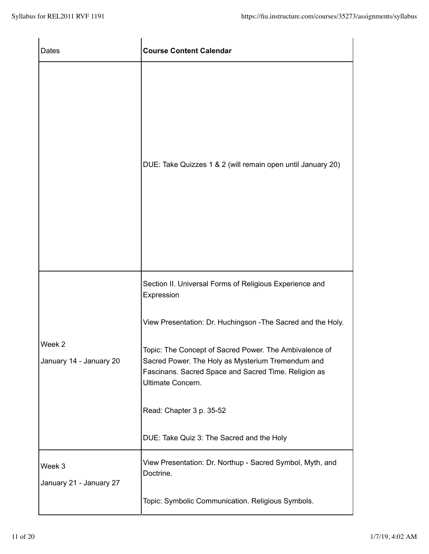| Dates                             | <b>Course Content Calendar</b>                                                                                                                                                           |
|-----------------------------------|------------------------------------------------------------------------------------------------------------------------------------------------------------------------------------------|
|                                   | DUE: Take Quizzes 1 & 2 (will remain open until January 20)                                                                                                                              |
|                                   | Section II. Universal Forms of Religious Experience and<br>Expression                                                                                                                    |
|                                   | View Presentation: Dr. Huchingson - The Sacred and the Holy.                                                                                                                             |
| Week 2<br>January 14 - January 20 | Topic: The Concept of Sacred Power. The Ambivalence of<br>Sacred Power. The Holy as Mysterium Tremendum and<br>Fascinans. Sacred Space and Sacred Time. Religion as<br>Ultimate Concern. |
|                                   | Read: Chapter 3 p. 35-52                                                                                                                                                                 |
|                                   | DUE: Take Quiz 3: The Sacred and the Holy                                                                                                                                                |
| Week 3<br>January 21 - January 27 | View Presentation: Dr. Northup - Sacred Symbol, Myth, and<br>Doctrine.                                                                                                                   |
|                                   | Topic: Symbolic Communication. Religious Symbols.                                                                                                                                        |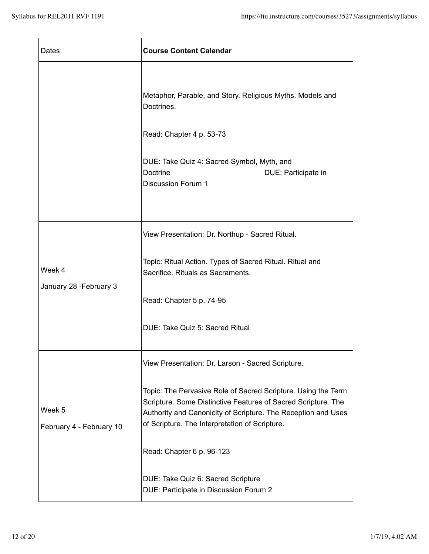| Dates                              | <b>Course Content Calendar</b>                                                                                                                                                                                                                                                                                                                                                                                      |
|------------------------------------|---------------------------------------------------------------------------------------------------------------------------------------------------------------------------------------------------------------------------------------------------------------------------------------------------------------------------------------------------------------------------------------------------------------------|
|                                    | Metaphor, Parable, and Story. Religious Myths. Models and<br>Doctrines.<br>Read: Chapter 4 p. 53-73<br>DUE: Take Quiz 4: Sacred Symbol, Myth, and<br>Doctrine<br>DUE: Participate in<br><b>Discussion Forum 1</b>                                                                                                                                                                                                   |
| Week 4<br>January 28 - February 3  | View Presentation: Dr. Northup - Sacred Ritual.<br>Topic: Ritual Action. Types of Sacred Ritual. Ritual and<br>Sacrifice. Rituals as Sacraments.<br>Read: Chapter 5 p. 74-95<br>DUE: Take Quiz 5: Sacred Ritual                                                                                                                                                                                                     |
| Week 5<br>February 4 - February 10 | View Presentation: Dr. Larson - Sacred Scripture.<br>Topic: The Pervasive Role of Sacred Scripture. Using the Term<br>Scripture. Some Distinctive Features of Sacred Scripture. The<br>Authority and Canonicity of Scripture. The Reception and Uses<br>of Scripture. The Interpretation of Scripture.<br>Read: Chapter 6 p. 96-123<br>DUE: Take Quiz 6: Sacred Scripture<br>DUE: Participate in Discussion Forum 2 |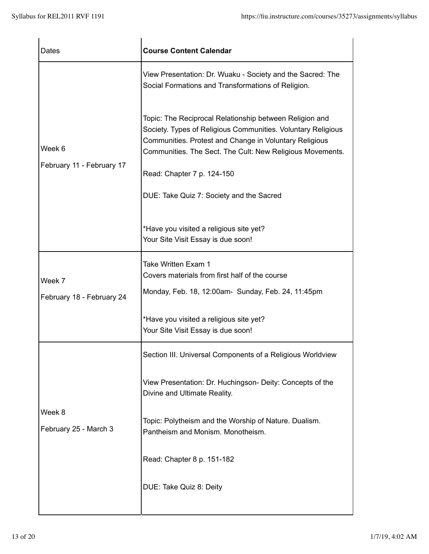| Dates                               | <b>Course Content Calendar</b>                                                                                                                                                                                                                 |
|-------------------------------------|------------------------------------------------------------------------------------------------------------------------------------------------------------------------------------------------------------------------------------------------|
| Week 6<br>February 11 - February 17 | View Presentation: Dr. Wuaku - Society and the Sacred: The<br>Social Formations and Transformations of Religion.                                                                                                                               |
|                                     | Topic: The Reciprocal Relationship between Religion and<br>Society. Types of Religious Communities. Voluntary Religious<br>Communities. Protest and Change in Voluntary Religious<br>Communities. The Sect. The Cult: New Religious Movements. |
|                                     | Read: Chapter 7 p. 124-150                                                                                                                                                                                                                     |
|                                     | DUE: Take Quiz 7: Society and the Sacred                                                                                                                                                                                                       |
|                                     | *Have you visited a religious site yet?<br>Your Site Visit Essay is due soon!                                                                                                                                                                  |
| Week 7                              | Take Written Exam 1<br>Covers materials from first half of the course                                                                                                                                                                          |
| February 18 - February 24           | Monday, Feb. 18, 12:00am- Sunday, Feb. 24, 11:45pm                                                                                                                                                                                             |
|                                     | *Have you visited a religious site yet?<br>Your Site Visit Essay is due soon!                                                                                                                                                                  |
|                                     | Section III. Universal Components of a Religious Worldview                                                                                                                                                                                     |
| Week 8<br>February 25 - March 3     | View Presentation: Dr. Huchingson- Deity: Concepts of the<br>Divine and Ultimate Reality.                                                                                                                                                      |
|                                     | Topic: Polytheism and the Worship of Nature. Dualism.<br>Pantheism and Monism. Monotheism.                                                                                                                                                     |
|                                     | Read: Chapter 8 p. 151-182                                                                                                                                                                                                                     |
|                                     | DUE: Take Quiz 8: Deity                                                                                                                                                                                                                        |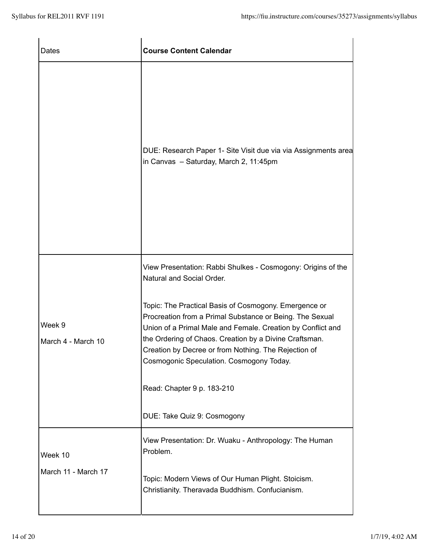| Dates                        | <b>Course Content Calendar</b>                                                                                                                                                                                                                                                                                                                 |
|------------------------------|------------------------------------------------------------------------------------------------------------------------------------------------------------------------------------------------------------------------------------------------------------------------------------------------------------------------------------------------|
|                              | DUE: Research Paper 1- Site Visit due via via Assignments area<br>in Canvas - Saturday, March 2, 11:45pm                                                                                                                                                                                                                                       |
|                              | View Presentation: Rabbi Shulkes - Cosmogony: Origins of the<br>Natural and Social Order.                                                                                                                                                                                                                                                      |
| Week 9<br>March 4 - March 10 | Topic: The Practical Basis of Cosmogony. Emergence or<br>Procreation from a Primal Substance or Being. The Sexual<br>Union of a Primal Male and Female. Creation by Conflict and<br>the Ordering of Chaos. Creation by a Divine Craftsman.<br>Creation by Decree or from Nothing. The Rejection of<br>Cosmogonic Speculation. Cosmogony Today. |
|                              | Read: Chapter 9 p. 183-210                                                                                                                                                                                                                                                                                                                     |
|                              | DUE: Take Quiz 9: Cosmogony                                                                                                                                                                                                                                                                                                                    |
| Week 10                      | View Presentation: Dr. Wuaku - Anthropology: The Human<br>Problem.                                                                                                                                                                                                                                                                             |
| March 11 - March 17          | Topic: Modern Views of Our Human Plight. Stoicism.<br>Christianity. Theravada Buddhism. Confucianism.                                                                                                                                                                                                                                          |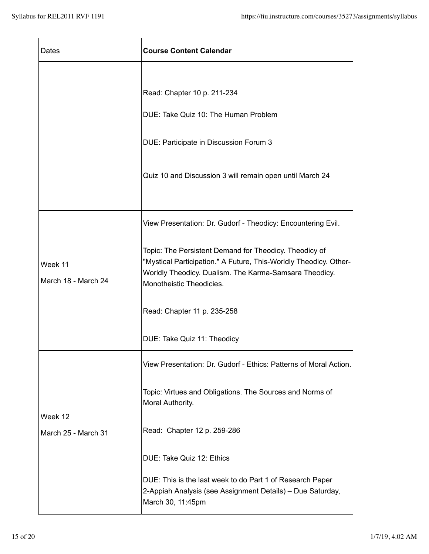| Dates                          | <b>Course Content Calendar</b>                                                                                                                                                                                    |
|--------------------------------|-------------------------------------------------------------------------------------------------------------------------------------------------------------------------------------------------------------------|
|                                |                                                                                                                                                                                                                   |
|                                | Read: Chapter 10 p. 211-234                                                                                                                                                                                       |
|                                | DUE: Take Quiz 10: The Human Problem                                                                                                                                                                              |
|                                | DUE: Participate in Discussion Forum 3                                                                                                                                                                            |
|                                | Quiz 10 and Discussion 3 will remain open until March 24                                                                                                                                                          |
|                                | View Presentation: Dr. Gudorf - Theodicy: Encountering Evil.                                                                                                                                                      |
| Week 11<br>March 18 - March 24 | Topic: The Persistent Demand for Theodicy. Theodicy of<br>"Mystical Participation." A Future, This-Worldly Theodicy. Other-<br>Worldly Theodicy. Dualism. The Karma-Samsara Theodicy.<br>Monotheistic Theodicies. |
|                                | Read: Chapter 11 p. 235-258                                                                                                                                                                                       |
|                                | DUE: Take Quiz 11: Theodicy                                                                                                                                                                                       |
|                                | View Presentation: Dr. Gudorf - Ethics: Patterns of Moral Action.                                                                                                                                                 |
|                                | Topic: Virtues and Obligations. The Sources and Norms of<br>Moral Authority.                                                                                                                                      |
| Week 12<br>March 25 - March 31 | Read: Chapter 12 p. 259-286                                                                                                                                                                                       |
|                                | DUE: Take Quiz 12: Ethics                                                                                                                                                                                         |
|                                | DUE: This is the last week to do Part 1 of Research Paper<br>2-Appiah Analysis (see Assignment Details) – Due Saturday,<br>March 30, 11:45pm                                                                      |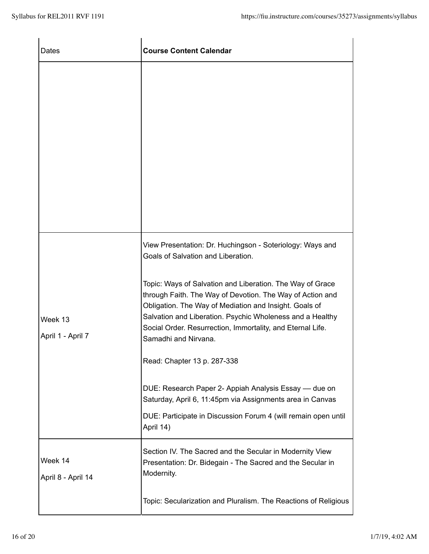| Dates                         | <b>Course Content Calendar</b>                                                                                                                                                                                                                                                                                                                                                                                                                                                                                                                                                                                                                                             |
|-------------------------------|----------------------------------------------------------------------------------------------------------------------------------------------------------------------------------------------------------------------------------------------------------------------------------------------------------------------------------------------------------------------------------------------------------------------------------------------------------------------------------------------------------------------------------------------------------------------------------------------------------------------------------------------------------------------------|
|                               |                                                                                                                                                                                                                                                                                                                                                                                                                                                                                                                                                                                                                                                                            |
| Week 13<br>April 1 - April 7  | View Presentation: Dr. Huchingson - Soteriology: Ways and<br>Goals of Salvation and Liberation.<br>Topic: Ways of Salvation and Liberation. The Way of Grace<br>through Faith. The Way of Devotion. The Way of Action and<br>Obligation. The Way of Mediation and Insight. Goals of<br>Salvation and Liberation. Psychic Wholeness and a Healthy<br>Social Order. Resurrection, Immortality, and Eternal Life.<br>Samadhi and Nirvana.<br>Read: Chapter 13 p. 287-338<br>DUE: Research Paper 2- Appiah Analysis Essay — due on<br>Saturday, April 6, 11:45pm via Assignments area in Canvas<br>DUE: Participate in Discussion Forum 4 (will remain open until<br>April 14) |
| Week 14<br>April 8 - April 14 | Section IV. The Sacred and the Secular in Modernity View<br>Presentation: Dr. Bidegain - The Sacred and the Secular in<br>Modernity.<br>Topic: Secularization and Pluralism. The Reactions of Religious                                                                                                                                                                                                                                                                                                                                                                                                                                                                    |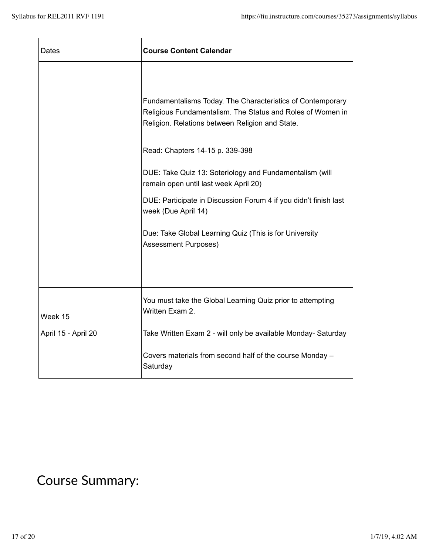| Dates                          | <b>Course Content Calendar</b>                                                                                                                                                                                                                                                                                                                                                                                                                                                                  |
|--------------------------------|-------------------------------------------------------------------------------------------------------------------------------------------------------------------------------------------------------------------------------------------------------------------------------------------------------------------------------------------------------------------------------------------------------------------------------------------------------------------------------------------------|
|                                | Fundamentalisms Today. The Characteristics of Contemporary<br>Religious Fundamentalism. The Status and Roles of Women in<br>Religion. Relations between Religion and State.<br>Read: Chapters 14-15 p. 339-398<br>DUE: Take Quiz 13: Soteriology and Fundamentalism (will<br>remain open until last week April 20)<br>DUE: Participate in Discussion Forum 4 if you didn't finish last<br>week (Due April 14)<br>Due: Take Global Learning Quiz (This is for University<br>Assessment Purposes) |
| Week 15<br>April 15 - April 20 | You must take the Global Learning Quiz prior to attempting<br>Written Exam 2.<br>Take Written Exam 2 - will only be available Monday- Saturday                                                                                                                                                                                                                                                                                                                                                  |
|                                | Covers materials from second half of the course Monday -<br>Saturday                                                                                                                                                                                                                                                                                                                                                                                                                            |

# Course Summary: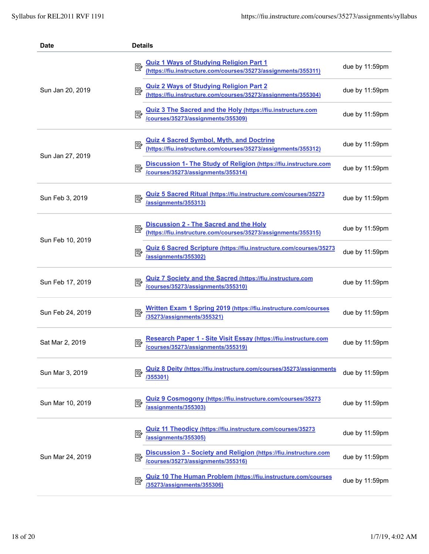| Date             | <b>Details</b>                                                                                                        |                |
|------------------|-----------------------------------------------------------------------------------------------------------------------|----------------|
| Sun Jan 20, 2019 | <u>Quiz 1 Ways of Studying Religion Part 1</u><br>(https://fiu.instructure.com/courses/35273/assignments/355311)<br>國 | due by 11:59pm |
|                  | Quiz 2 Ways of Studying Religion Part 2<br>(https://fiu.instructure.com/courses/35273/assignments/355304)             | due by 11:59pm |
|                  | Quiz 3 The Sacred and the Holy (https://fiu.instructure.com<br>/courses/35273/assignments/355309)                     | due by 11:59pm |
|                  | Quiz 4 Sacred Symbol, Myth, and Doctrine<br>(https://fiu.instructure.com/courses/35273/assignments/355312)            | due by 11:59pm |
| Sun Jan 27, 2019 | Discussion 1- The Study of Religion (https://fiu.instructure.com<br>/courses/35273/assignments/355314)<br>國           | due by 11:59pm |
| Sun Feb 3, 2019  | Quiz 5 Sacred Ritual (https://fiu.instructure.com/courses/35273<br>/assignments/355313)                               | due by 11:59pm |
|                  | Discussion 2 - The Sacred and the Holy<br>(https://fiu.instructure.com/courses/35273/assignments/355315)<br>國         | due by 11:59pm |
| Sun Feb 10, 2019 | Quiz 6 Sacred Scripture (https://fiu.instructure.com/courses/35273<br>/assignments/355302)                            | due by 11:59pm |
| Sun Feb 17, 2019 | Quiz 7 Society and the Sacred (https://fiu.instructure.com<br>/courses/35273/assignments/355310)                      | due by 11:59pm |
| Sun Feb 24, 2019 | Written Exam 1 Spring 2019 (https://fiu.instructure.com/courses<br>/35273/assignments/355321)                         | due by 11:59pm |
| Sat Mar 2, 2019  | Research Paper 1 - Site Visit Essay (https://fiu.instructure.com<br>/courses/35273/assignments/355319)                | due by 11:59pm |
| Sun Mar 3, 2019  | Quiz 8 Deity (https://fiu.instructure.com/courses/35273/assignments<br>歐<br>/355301)                                  | due by 11:59pm |
| Sun Mar 10, 2019 | Quiz 9 Cosmogony (https://fiu.instructure.com/courses/35273<br>國<br>/assignments/355303)                              | due by 11:59pm |
| Sun Mar 24, 2019 | <b>Quiz 11 Theodicy (https://fiu.instructure.com/courses/35273</b><br>國<br>/assignments/355305)                       | due by 11:59pm |
|                  | Discussion 3 - Society and Religion (https://fiu.instructure.com<br>國<br>/courses/35273/assignments/355316)           | due by 11:59pm |
|                  | <b>Quiz 10 The Human Problem (https://fiu.instructure.com/courses</b><br>/35273/assignments/355306)                   | due by 11:59pm |